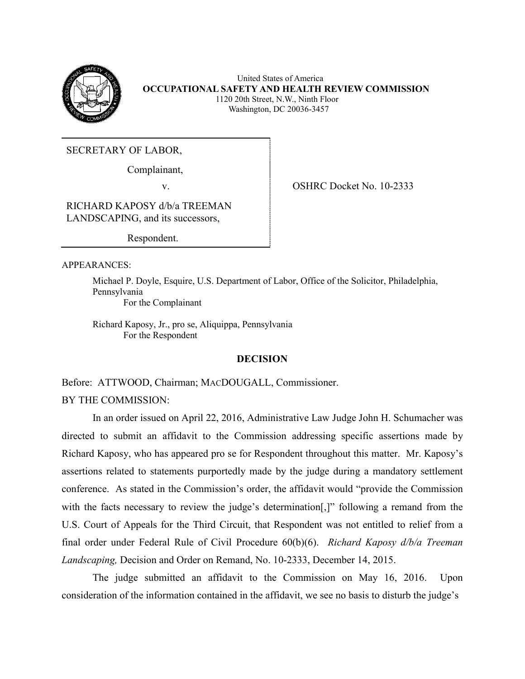

 United States of America **OCCUPATIONAL SAFETY AND HEALTH REVIEW COMMISSION** 1120 20th Street, N.W., Ninth Floor Washington, DC 20036-3457

SECRETARY OF LABOR,

Complainant,

v. OSHRC Docket No. 10-2333

RICHARD KAPOSY d/b/a TREEMAN LANDSCAPING, and its successors,

Respondent.

APPEARANCES:

Michael P. Doyle, Esquire, U.S. Department of Labor, Office of the Solicitor, Philadelphia, Pennsylvania For the Complainant

Richard Kaposy, Jr., pro se, Aliquippa, Pennsylvania For the Respondent

# **DECISION**

Before: ATTWOOD, Chairman; MACDOUGALL, Commissioner.

BY THE COMMISSION:

In an order issued on April 22, 2016, Administrative Law Judge John H. Schumacher was directed to submit an affidavit to the Commission addressing specific assertions made by Richard Kaposy, who has appeared pro se for Respondent throughout this matter. Mr. Kaposy's assertions related to statements purportedly made by the judge during a mandatory settlement conference. As stated in the Commission's order, the affidavit would "provide the Commission with the facts necessary to review the judge's determination<sup>[1]</sup>, following a remand from the U.S. Court of Appeals for the Third Circuit, that Respondent was not entitled to relief from a final order under Federal Rule of Civil Procedure 60(b)(6). *Richard Kaposy d/b/a Treeman Landscaping,* Decision and Order on Remand, No. 10-2333, December 14, 2015.

The judge submitted an affidavit to the Commission on May 16, 2016. Upon consideration of the information contained in the affidavit, we see no basis to disturb the judge's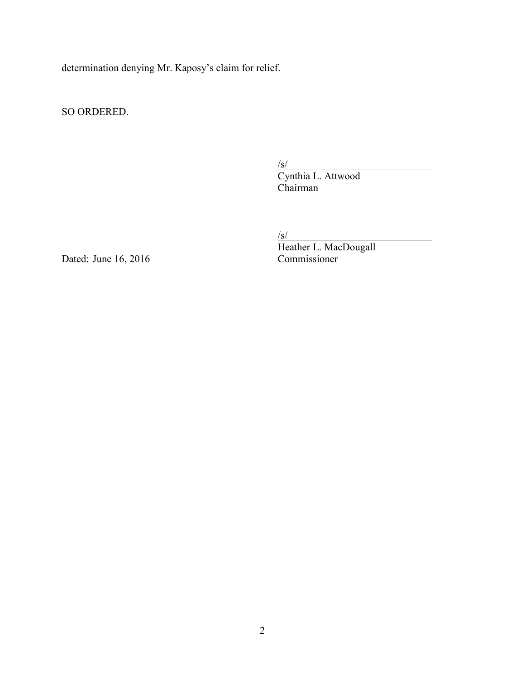determination denying Mr. Kaposy's claim for relief.

SO ORDERED.

/s/ Cynthia L. Attwood Chairman

 $\sqrt{s}$ /

Heather L. MacDougall Dated: June 16, 2016 Commissioner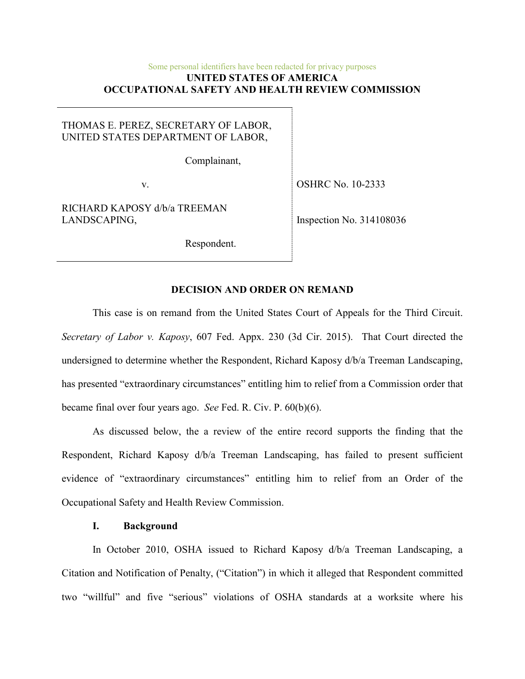### Some personal identifiers have been redacted for privacy purposes **UNITED STATES OF AMERICA OCCUPATIONAL SAFETY AND HEALTH REVIEW COMMISSION**

# THOMAS E. PEREZ, SECRETARY OF LABOR, UNITED STATES DEPARTMENT OF LABOR,

Complainant,

v.

RICHARD KAPOSY d/b/a TREEMAN LANDSCAPING,

OSHRC No. 10-2333

Inspection No. 314108036

Respondent.

## **DECISION AND ORDER ON REMAND**

This case is on remand from the United States Court of Appeals for the Third Circuit. *Secretary of Labor v. Kaposy*, 607 Fed. Appx. 230 (3d Cir. 2015). That Court directed the undersigned to determine whether the Respondent, Richard Kaposy d/b/a Treeman Landscaping, has presented "extraordinary circumstances" entitling him to relief from a Commission order that became final over four years ago. *See* Fed. R. Civ. P. 60(b)(6).

As discussed below, the a review of the entire record supports the finding that the Respondent, Richard Kaposy d/b/a Treeman Landscaping, has failed to present sufficient evidence of "extraordinary circumstances" entitling him to relief from an Order of the Occupational Safety and Health Review Commission.

### **I. Background**

In October 2010, OSHA issued to Richard Kaposy d/b/a Treeman Landscaping, a Citation and Notification of Penalty, ("Citation") in which it alleged that Respondent committed two "willful" and five "serious" violations of OSHA standards at a worksite where his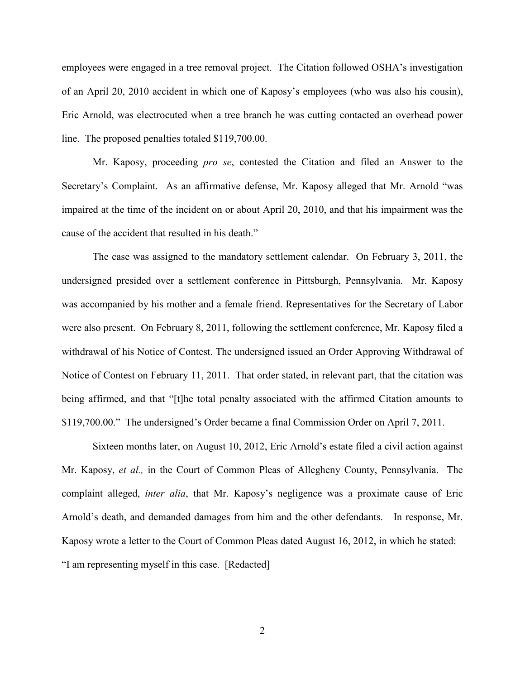employees were engaged in a tree removal project. The Citation followed OSHA's investigation of an April 20, 2010 accident in which one of Kaposy's employees (who was also his cousin), Eric Arnold, was electrocuted when a tree branch he was cutting contacted an overhead power line. The proposed penalties totaled \$119,700.00.

Mr. Kaposy, proceeding *pro se*, contested the Citation and filed an Answer to the Secretary's Complaint. As an affirmative defense, Mr. Kaposy alleged that Mr. Arnold "was impaired at the time of the incident on or about April 20, 2010, and that his impairment was the cause of the accident that resulted in his death."

The case was assigned to the mandatory settlement calendar. On February 3, 2011, the undersigned presided over a settlement conference in Pittsburgh, Pennsylvania. Mr. Kaposy was accompanied by his mother and a female friend. Representatives for the Secretary of Labor were also present. On February 8, 2011, following the settlement conference, Mr. Kaposy filed a withdrawal of his Notice of Contest. The undersigned issued an Order Approving Withdrawal of Notice of Contest on February 11, 2011. That order stated, in relevant part, that the citation was being affirmed, and that "[t]he total penalty associated with the affirmed Citation amounts to \$119,700.00." The undersigned's Order became a final Commission Order on April 7, 2011.

Sixteen months later, on August 10, 2012, Eric Arnold's estate filed a civil action against Mr. Kaposy, *et al.,* in the Court of Common Pleas of Allegheny County, Pennsylvania. The complaint alleged, *inter alia*, that Mr. Kaposy's negligence was a proximate cause of Eric Arnold's death, and demanded damages from him and the other defendants. In response, Mr. Kaposy wrote a letter to the Court of Common Pleas dated August 16, 2012, in which he stated: "I am representing myself in this case. [Redacted]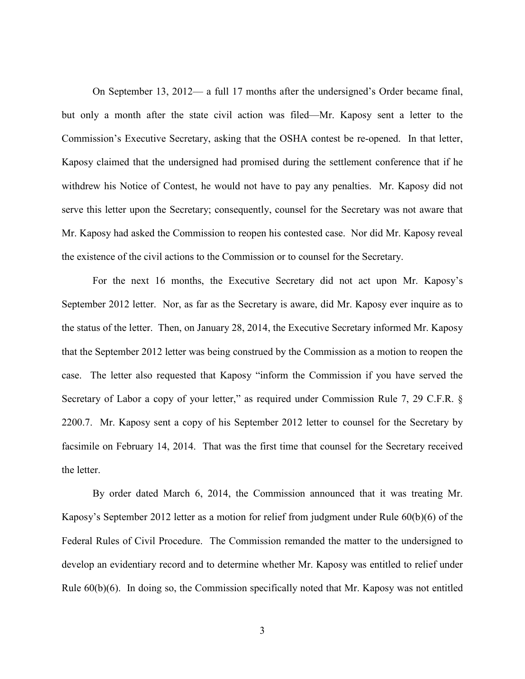On September 13, 2012— a full 17 months after the undersigned's Order became final, but only a month after the state civil action was filed—Mr. Kaposy sent a letter to the Commission's Executive Secretary, asking that the OSHA contest be re-opened. In that letter, Kaposy claimed that the undersigned had promised during the settlement conference that if he withdrew his Notice of Contest, he would not have to pay any penalties. Mr. Kaposy did not serve this letter upon the Secretary; consequently, counsel for the Secretary was not aware that Mr. Kaposy had asked the Commission to reopen his contested case. Nor did Mr. Kaposy reveal the existence of the civil actions to the Commission or to counsel for the Secretary.

For the next 16 months, the Executive Secretary did not act upon Mr. Kaposy's September 2012 letter. Nor, as far as the Secretary is aware, did Mr. Kaposy ever inquire as to the status of the letter. Then, on January 28, 2014, the Executive Secretary informed Mr. Kaposy that the September 2012 letter was being construed by the Commission as a motion to reopen the case. The letter also requested that Kaposy "inform the Commission if you have served the Secretary of Labor a copy of your letter," as required under Commission Rule 7, 29 C.F.R. § 2200.7. Mr. Kaposy sent a copy of his September 2012 letter to counsel for the Secretary by facsimile on February 14, 2014. That was the first time that counsel for the Secretary received the letter.

By order dated March 6, 2014, the Commission announced that it was treating Mr. Kaposy's September 2012 letter as a motion for relief from judgment under Rule 60(b)(6) of the Federal Rules of Civil Procedure. The Commission remanded the matter to the undersigned to develop an evidentiary record and to determine whether Mr. Kaposy was entitled to relief under Rule 60(b)(6). In doing so, the Commission specifically noted that Mr. Kaposy was not entitled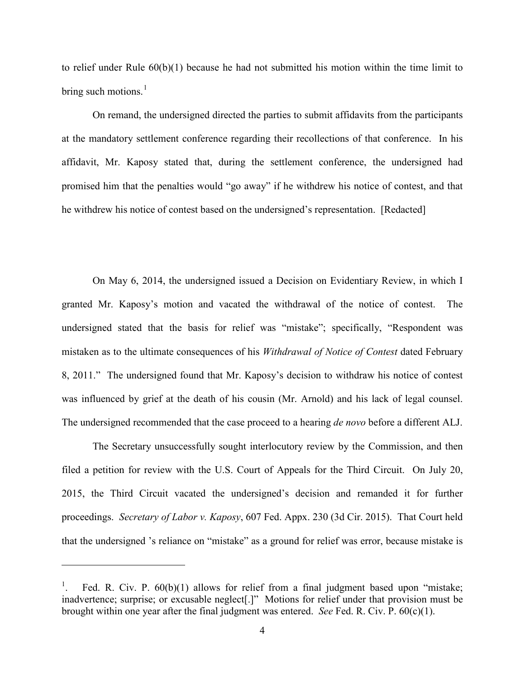to relief under Rule 60(b)(1) because he had not submitted his motion within the time limit to bring such motions. $<sup>1</sup>$  $<sup>1</sup>$  $<sup>1</sup>$ </sup>

On remand, the undersigned directed the parties to submit affidavits from the participants at the mandatory settlement conference regarding their recollections of that conference. In his affidavit, Mr. Kaposy stated that, during the settlement conference, the undersigned had promised him that the penalties would "go away" if he withdrew his notice of contest, and that he withdrew his notice of contest based on the undersigned's representation. [Redacted]

On May 6, 2014, the undersigned issued a Decision on Evidentiary Review, in which I granted Mr. Kaposy's motion and vacated the withdrawal of the notice of contest. The undersigned stated that the basis for relief was "mistake"; specifically, "Respondent was mistaken as to the ultimate consequences of his *Withdrawal of Notice of Contest* dated February 8, 2011." The undersigned found that Mr. Kaposy's decision to withdraw his notice of contest was influenced by grief at the death of his cousin (Mr. Arnold) and his lack of legal counsel. The undersigned recommended that the case proceed to a hearing *de novo* before a different ALJ.

The Secretary unsuccessfully sought interlocutory review by the Commission, and then filed a petition for review with the U.S. Court of Appeals for the Third Circuit. On July 20, 2015, the Third Circuit vacated the undersigned's decision and remanded it for further proceedings. *Secretary of Labor v. Kaposy*, 607 Fed. Appx. 230 (3d Cir. 2015). That Court held that the undersigned 's reliance on "mistake" as a ground for relief was error, because mistake is

 $\overline{a}$ 

<span id="page-5-0"></span><sup>1</sup> Fed. R. Civ. P. 60(b)(1) allows for relief from a final judgment based upon "mistake; inadvertence; surprise; or excusable neglect[.]" Motions for relief under that provision must be brought within one year after the final judgment was entered. *See* Fed. R. Civ. P. 60(c)(1).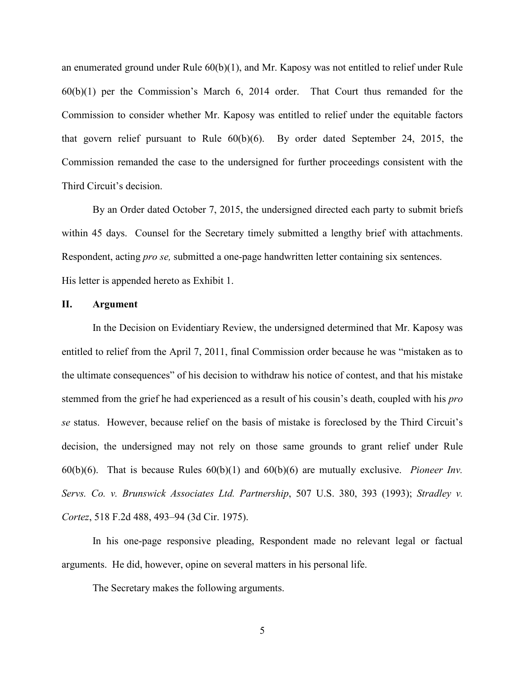an enumerated ground under Rule 60(b)(1), and Mr. Kaposy was not entitled to relief under Rule 60(b)(1) per the Commission's March 6, 2014 order. That Court thus remanded for the Commission to consider whether Mr. Kaposy was entitled to relief under the equitable factors that govern relief pursuant to Rule 60(b)(6). By order dated September 24, 2015, the Commission remanded the case to the undersigned for further proceedings consistent with the Third Circuit's decision.

By an Order dated October 7, 2015, the undersigned directed each party to submit briefs within 45 days. Counsel for the Secretary timely submitted a lengthy brief with attachments. Respondent, acting *pro se,* submitted a one-page handwritten letter containing six sentences. His letter is appended hereto as Exhibit 1.

### **II. Argument**

In the Decision on Evidentiary Review, the undersigned determined that Mr. Kaposy was entitled to relief from the April 7, 2011, final Commission order because he was "mistaken as to the ultimate consequences" of his decision to withdraw his notice of contest, and that his mistake stemmed from the grief he had experienced as a result of his cousin's death, coupled with his *pro se* status. However, because relief on the basis of mistake is foreclosed by the Third Circuit's decision, the undersigned may not rely on those same grounds to grant relief under Rule 60(b)(6). That is because Rules 60(b)(1) and 60(b)(6) are mutually exclusive. *Pioneer Inv. Servs. Co. v. Brunswick Associates Ltd. Partnership*, 507 U.S. 380, 393 (1993); *Stradley v. Cortez*, 518 F.2d 488, 493–94 (3d Cir. 1975).

In his one-page responsive pleading, Respondent made no relevant legal or factual arguments. He did, however, opine on several matters in his personal life.

The Secretary makes the following arguments.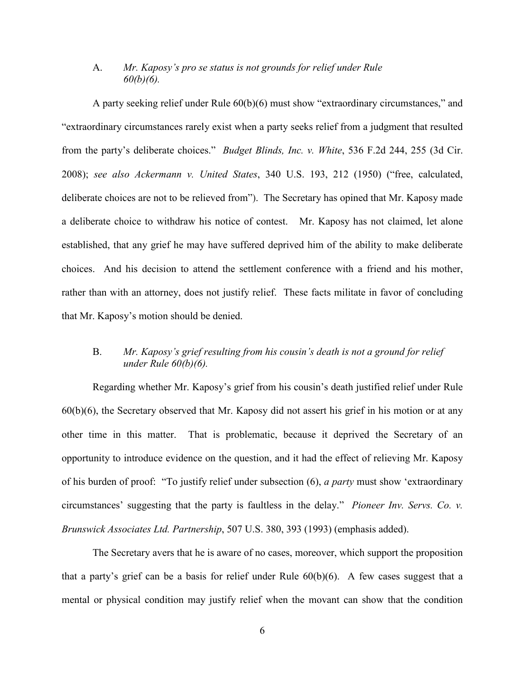# A. *Mr. Kaposy's pro se status is not grounds for relief under Rule 60(b)(6).*

 A party seeking relief under Rule 60(b)(6) must show "extraordinary circumstances," and "extraordinary circumstances rarely exist when a party seeks relief from a judgment that resulted from the party's deliberate choices." *Budget Blinds, Inc. v. White*, 536 F.2d 244, 255 (3d Cir. 2008); *see also Ackermann v. United States*, 340 U.S. 193, 212 (1950) ("free, calculated, deliberate choices are not to be relieved from"). The Secretary has opined that Mr. Kaposy made a deliberate choice to withdraw his notice of contest. Mr. Kaposy has not claimed, let alone established, that any grief he may have suffered deprived him of the ability to make deliberate choices. And his decision to attend the settlement conference with a friend and his mother, rather than with an attorney, does not justify relief. These facts militate in favor of concluding that Mr. Kaposy's motion should be denied.

# B. *Mr. Kaposy's grief resulting from his cousin's death is not a ground for relief under Rule 60(b)(6).*

Regarding whether Mr. Kaposy's grief from his cousin's death justified relief under Rule 60(b)(6), the Secretary observed that Mr. Kaposy did not assert his grief in his motion or at any other time in this matter. That is problematic, because it deprived the Secretary of an opportunity to introduce evidence on the question, and it had the effect of relieving Mr. Kaposy of his burden of proof: "To justify relief under subsection (6), *a party* must show 'extraordinary circumstances' suggesting that the party is faultless in the delay." *Pioneer Inv. Servs. Co. v. Brunswick Associates Ltd. Partnership*, 507 U.S. 380, 393 (1993) (emphasis added).

The Secretary avers that he is aware of no cases, moreover, which support the proposition that a party's grief can be a basis for relief under Rule 60(b)(6). A few cases suggest that a mental or physical condition may justify relief when the movant can show that the condition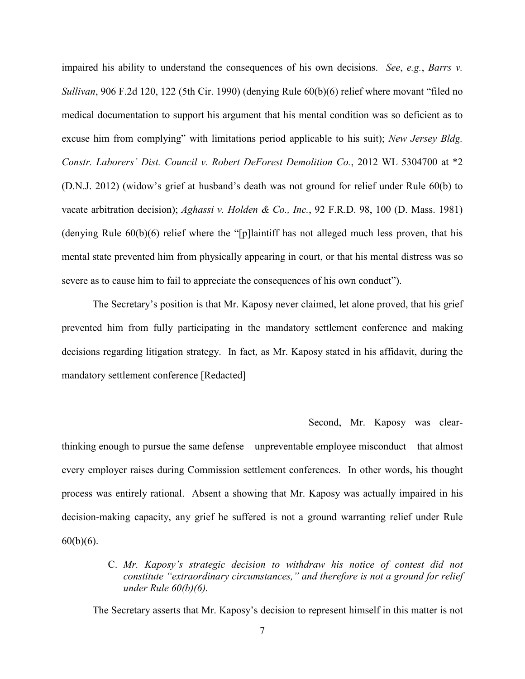impaired his ability to understand the consequences of his own decisions. *See*, *e.g.*, *Barrs v. Sullivan*, 906 F.2d 120, 122 (5th Cir. 1990) (denying Rule 60(b)(6) relief where movant "filed no medical documentation to support his argument that his mental condition was so deficient as to excuse him from complying" with limitations period applicable to his suit); *New Jersey Bldg. Constr. Laborers' Dist. Council v. Robert DeForest Demolition Co.*, 2012 WL 5304700 at \*2 (D.N.J. 2012) (widow's grief at husband's death was not ground for relief under Rule 60(b) to vacate arbitration decision); *Aghassi v. Holden & Co., Inc.*, 92 F.R.D. 98, 100 (D. Mass. 1981) (denying Rule 60(b)(6) relief where the "[p]laintiff has not alleged much less proven, that his mental state prevented him from physically appearing in court, or that his mental distress was so severe as to cause him to fail to appreciate the consequences of his own conduct").

The Secretary's position is that Mr. Kaposy never claimed, let alone proved, that his grief prevented him from fully participating in the mandatory settlement conference and making decisions regarding litigation strategy. In fact, as Mr. Kaposy stated in his affidavit, during the mandatory settlement conference [Redacted]

### Second, Mr. Kaposy was clear-

thinking enough to pursue the same defense – unpreventable employee misconduct – that almost every employer raises during Commission settlement conferences. In other words, his thought process was entirely rational. Absent a showing that Mr. Kaposy was actually impaired in his decision-making capacity, any grief he suffered is not a ground warranting relief under Rule  $60(b)(6)$ .

# C. *Mr. Kaposy's strategic decision to withdraw his notice of contest did not constitute "extraordinary circumstances," and therefore is not a ground for relief under Rule 60(b)(6).*

The Secretary asserts that Mr. Kaposy's decision to represent himself in this matter is not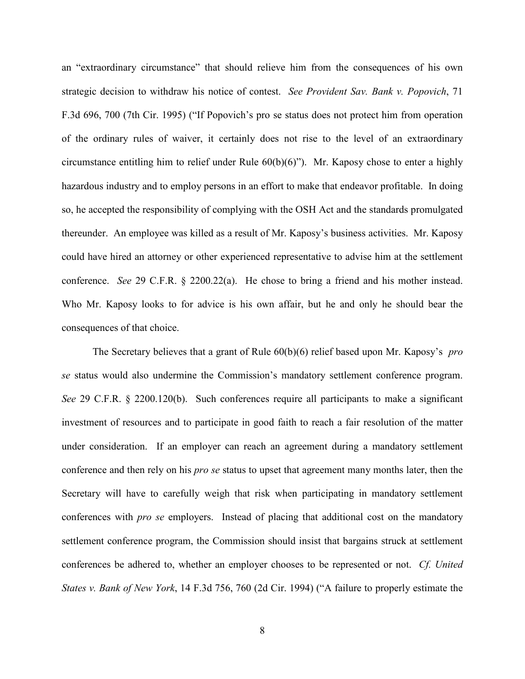an "extraordinary circumstance" that should relieve him from the consequences of his own strategic decision to withdraw his notice of contest. *See Provident Sav. Bank v. Popovich*, 71 F.3d 696, 700 (7th Cir. 1995) ("If Popovich's pro se status does not protect him from operation of the ordinary rules of waiver, it certainly does not rise to the level of an extraordinary circumstance entitling him to relief under Rule 60(b)(6)"). Mr. Kaposy chose to enter a highly hazardous industry and to employ persons in an effort to make that endeavor profitable. In doing so, he accepted the responsibility of complying with the OSH Act and the standards promulgated thereunder. An employee was killed as a result of Mr. Kaposy's business activities. Mr. Kaposy could have hired an attorney or other experienced representative to advise him at the settlement conference. *See* 29 C.F.R. § 2200.22(a). He chose to bring a friend and his mother instead. Who Mr. Kaposy looks to for advice is his own affair, but he and only he should bear the consequences of that choice.

The Secretary believes that a grant of Rule 60(b)(6) relief based upon Mr. Kaposy's *pro se* status would also undermine the Commission's mandatory settlement conference program. *See* 29 C.F.R. § 2200.120(b). Such conferences require all participants to make a significant investment of resources and to participate in good faith to reach a fair resolution of the matter under consideration. If an employer can reach an agreement during a mandatory settlement conference and then rely on his *pro se* status to upset that agreement many months later, then the Secretary will have to carefully weigh that risk when participating in mandatory settlement conferences with *pro se* employers. Instead of placing that additional cost on the mandatory settlement conference program, the Commission should insist that bargains struck at settlement conferences be adhered to, whether an employer chooses to be represented or not. *Cf. United States v. Bank of New York*, 14 F.3d 756, 760 (2d Cir. 1994) ("A failure to properly estimate the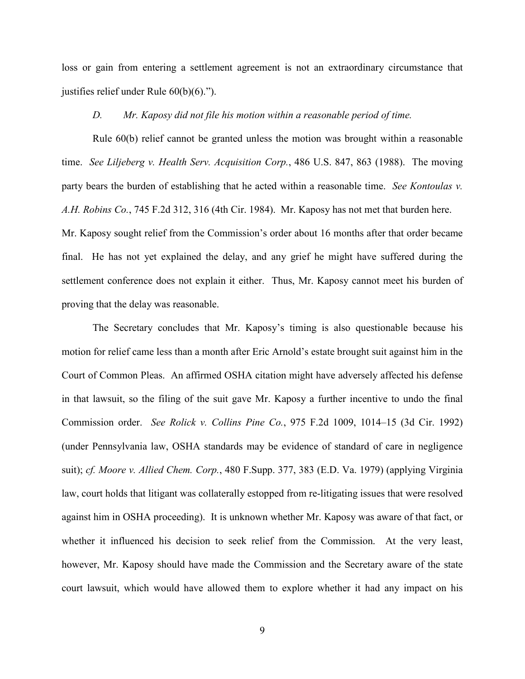loss or gain from entering a settlement agreement is not an extraordinary circumstance that justifies relief under Rule 60(b)(6).").

### *D. Mr. Kaposy did not file his motion within a reasonable period of time.*

Rule 60(b) relief cannot be granted unless the motion was brought within a reasonable time. *See Liljeberg v. Health Serv. Acquisition Corp.*, 486 U.S. 847, 863 (1988). The moving party bears the burden of establishing that he acted within a reasonable time. *See Kontoulas v. A.H. Robins Co.*, 745 F.2d 312, 316 (4th Cir. 1984). Mr. Kaposy has not met that burden here. Mr. Kaposy sought relief from the Commission's order about 16 months after that order became final. He has not yet explained the delay, and any grief he might have suffered during the settlement conference does not explain it either. Thus, Mr. Kaposy cannot meet his burden of proving that the delay was reasonable.

The Secretary concludes that Mr. Kaposy's timing is also questionable because his motion for relief came less than a month after Eric Arnold's estate brought suit against him in the Court of Common Pleas. An affirmed OSHA citation might have adversely affected his defense in that lawsuit, so the filing of the suit gave Mr. Kaposy a further incentive to undo the final Commission order. *See Rolick v. Collins Pine Co.*, 975 F.2d 1009, 1014–15 (3d Cir. 1992) (under Pennsylvania law, OSHA standards may be evidence of standard of care in negligence suit); *cf. Moore v. Allied Chem. Corp.*, 480 F.Supp. 377, 383 (E.D. Va. 1979) (applying Virginia law, court holds that litigant was collaterally estopped from re-litigating issues that were resolved against him in OSHA proceeding). It is unknown whether Mr. Kaposy was aware of that fact, or whether it influenced his decision to seek relief from the Commission. At the very least, however, Mr. Kaposy should have made the Commission and the Secretary aware of the state court lawsuit, which would have allowed them to explore whether it had any impact on his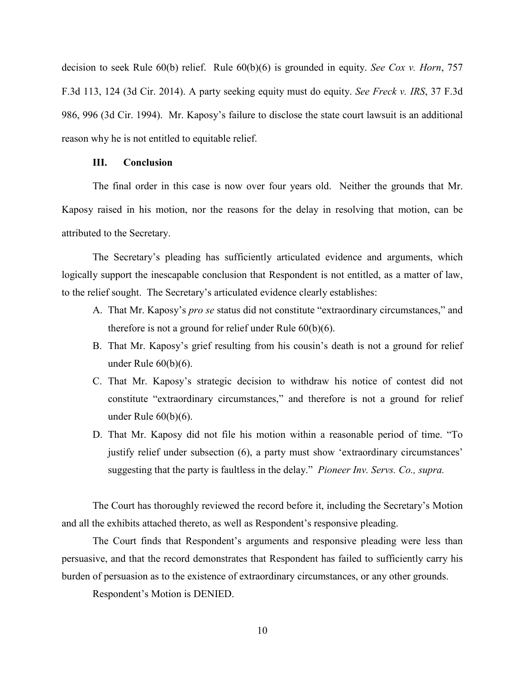decision to seek Rule 60(b) relief. Rule 60(b)(6) is grounded in equity. *See Cox v. Horn*, 757 F.3d 113, 124 (3d Cir. 2014). A party seeking equity must do equity. *See Freck v. IRS*, 37 F.3d 986, 996 (3d Cir. 1994). Mr. Kaposy's failure to disclose the state court lawsuit is an additional reason why he is not entitled to equitable relief.

### **III. Conclusion**

The final order in this case is now over four years old. Neither the grounds that Mr. Kaposy raised in his motion, nor the reasons for the delay in resolving that motion, can be attributed to the Secretary.

The Secretary's pleading has sufficiently articulated evidence and arguments, which logically support the inescapable conclusion that Respondent is not entitled, as a matter of law, to the relief sought. The Secretary's articulated evidence clearly establishes:

- A. That Mr. Kaposy's *pro se* status did not constitute "extraordinary circumstances," and therefore is not a ground for relief under Rule 60(b)(6).
- B. That Mr. Kaposy's grief resulting from his cousin's death is not a ground for relief under Rule 60(b)(6).
- C. That Mr. Kaposy's strategic decision to withdraw his notice of contest did not constitute "extraordinary circumstances," and therefore is not a ground for relief under Rule 60(b)(6).
- D. That Mr. Kaposy did not file his motion within a reasonable period of time. "To justify relief under subsection (6), a party must show 'extraordinary circumstances' suggesting that the party is faultless in the delay." *Pioneer Inv. Servs. Co., supra.*

The Court has thoroughly reviewed the record before it, including the Secretary's Motion and all the exhibits attached thereto, as well as Respondent's responsive pleading.

The Court finds that Respondent's arguments and responsive pleading were less than persuasive, and that the record demonstrates that Respondent has failed to sufficiently carry his burden of persuasion as to the existence of extraordinary circumstances, or any other grounds.

Respondent's Motion is DENIED.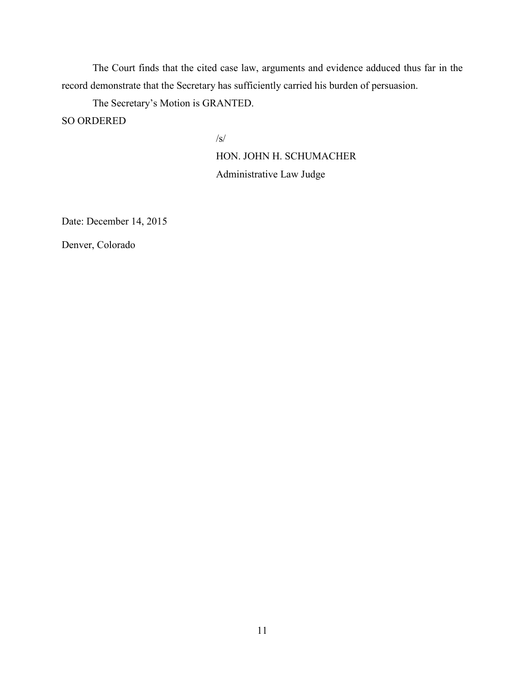The Court finds that the cited case law, arguments and evidence adduced thus far in the record demonstrate that the Secretary has sufficiently carried his burden of persuasion.

The Secretary's Motion is GRANTED.

SO ORDERED

 $\sqrt{s/2}$ 

HON. JOHN H. SCHUMACHER

Administrative Law Judge

Date: December 14, 2015

Denver, Colorado